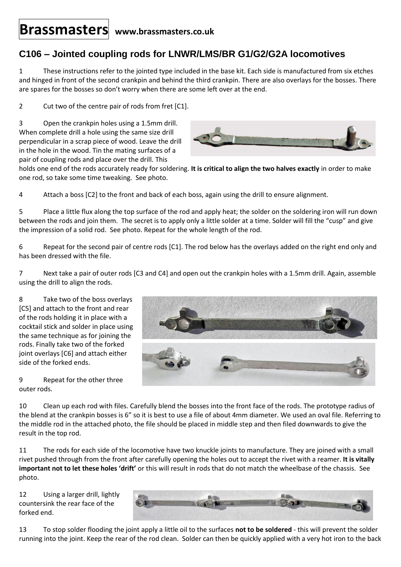## **Brassmasters www.brassmasters.co.uk**

## **C106 – Jointed coupling rods for LNWR/LMS/BR G1/G2/G2A locomotives**

1 These instructions refer to the jointed type included in the base kit. Each side is manufactured from six etches and hinged in front of the second crankpin and behind the third crankpin. There are also overlays for the bosses. There are spares for the bosses so don't worry when there are some left over at the end.

2 Cut two of the centre pair of rods from fret [C1].

3 Open the crankpin holes using a 1.5mm drill. When complete drill a hole using the same size drill perpendicular in a scrap piece of wood. Leave the drill in the hole in the wood. Tin the mating surfaces of a pair of coupling rods and place over the drill. This



holds one end of the rods accurately ready for soldering. **It is critical to align the two halves exactly** in order to make one rod, so take some time tweaking. See photo.

4 Attach a boss [C2] to the front and back of each boss, again using the drill to ensure alignment.

5 Place a little flux along the top surface of the rod and apply heat; the solder on the soldering iron will run down between the rods and join them. The secret is to apply only a little solder at a time. Solder will fill the "cusp" and give the impression of a solid rod. See photo. Repeat for the whole length of the rod.

6 Repeat for the second pair of centre rods [C1]. The rod below has the overlays added on the right end only and has been dressed with the file.

7 Next take a pair of outer rods [C3 and C4] and open out the crankpin holes with a 1.5mm drill. Again, assemble using the drill to align the rods.

8 Take two of the boss overlays [C5] and attach to the front and rear of the rods holding it in place with a cocktail stick and solder in place using the same technique as for joining the rods. Finally take two of the forked joint overlays [C6] and attach either side of the forked ends.

9 Repeat for the other three outer rods.



10 Clean up each rod with files. Carefully blend the bosses into the front face of the rods. The prototype radius of the blend at the crankpin bosses is 6" so it is best to use a file of about 4mm diameter. We used an oval file. Referring to the middle rod in the attached photo, the file should be placed in middle step and then filed downwards to give the result in the top rod.

11 The rods for each side of the locomotive have two knuckle joints to manufacture. They are joined with a small rivet pushed through from the front after carefully opening the holes out to accept the rivet with a reamer. **It is vitally important not to let these holes 'drift'** or this will result in rods that do not match the wheelbase of the chassis. See photo.

12 Using a larger drill, lightly countersink the rear face of the forked end.



13 To stop solder flooding the joint apply a little oil to the surfaces **not to be soldered** - this will prevent the solder running into the joint. Keep the rear of the rod clean. Solder can then be quickly applied with a very hot iron to the back